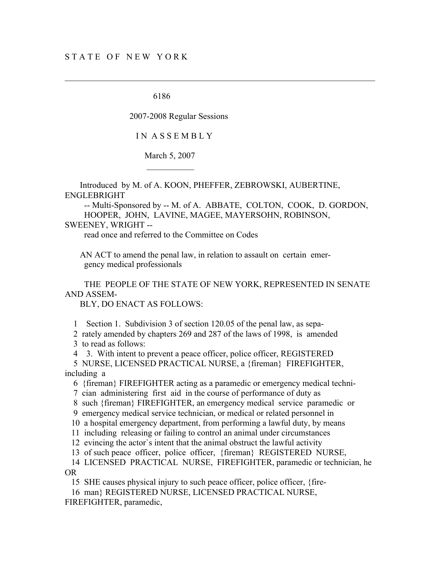$\mathcal{L}_\text{max}$  and  $\mathcal{L}_\text{max}$  are the set of  $\mathcal{L}_\text{max}$ 

6186

2007-2008 Regular Sessions

I N A S S E M B L Y

March 5, 2007

 Introduced by M. of A. KOON, PHEFFER, ZEBROWSKI, AUBERTINE, ENGLEBRIGHT

 -- Multi-Sponsored by -- M. of A. ABBATE, COLTON, COOK, D. GORDON, HOOPER, JOHN, LAVINE, MAGEE, MAYERSOHN, ROBINSON,

 $\mathcal{L}_\mathcal{L} = \{ \mathcal{L}_\mathcal{L} = \{ \mathcal{L}_\mathcal{L} = \{ \mathcal{L}_\mathcal{L} = \{ \mathcal{L}_\mathcal{L} = \{ \mathcal{L}_\mathcal{L} = \{ \mathcal{L}_\mathcal{L} = \{ \mathcal{L}_\mathcal{L} = \{ \mathcal{L}_\mathcal{L} = \{ \mathcal{L}_\mathcal{L} = \{ \mathcal{L}_\mathcal{L} = \{ \mathcal{L}_\mathcal{L} = \{ \mathcal{L}_\mathcal{L} = \{ \mathcal{L}_\mathcal{L} = \{ \mathcal{L}_\mathcal{$ 

SWEENEY, WRIGHT --

read once and referred to the Committee on Codes

 AN ACT to amend the penal law, in relation to assault on certain emer gency medical professionals

 THE PEOPLE OF THE STATE OF NEW YORK, REPRESENTED IN SENATE AND ASSEM-

BLY, DO ENACT AS FOLLOWS:

1 Section 1. Subdivision 3 of section 120.05 of the penal law, as sepa-

2 rately amended by chapters 269 and 287 of the laws of 1998, is amended

3 to read as follows:

4 3. With intent to prevent a peace officer, police officer, REGISTERED

 5 NURSE, LICENSED PRACTICAL NURSE, a {fireman} FIREFIGHTER, including a

6 {fireman} FIREFIGHTER acting as a paramedic or emergency medical techni-

7 cian administering first aid in the course of performance of duty as

8 such {fireman} FIREFIGHTER, an emergency medical service paramedic or

9 emergency medical service technician, or medical or related personnel in

10 a hospital emergency department, from performing a lawful duty, by means

11 including releasing or failing to control an animal under circumstances

12 evincing the actor`s intent that the animal obstruct the lawful activity

13 of such peace officer, police officer, {fireman} REGISTERED NURSE,

 14 LICENSED PRACTICAL NURSE, FIREFIGHTER, paramedic or technician, he OR

15 SHE causes physical injury to such peace officer, police officer, {fire-

16 man} REGISTERED NURSE, LICENSED PRACTICAL NURSE,

FIREFIGHTER, paramedic,